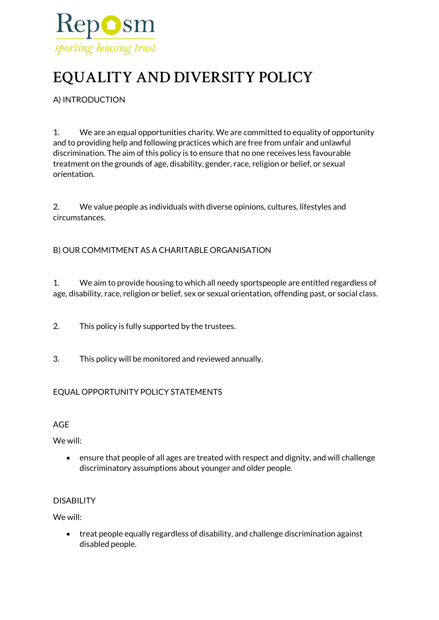

# **EQUALITY AND DIVERSITY POLICY**

A) INTRODUCTION

1. We are an equal opportunities charity. We are committed to equality of opportunity and to providing help and following practices which are free from unfair and unlawful discrimination. The aim of this policy is to ensure that no one receives less favourable treatment on the grounds of age, disability, gender, race, religion or belief, or sexual orientation.

2. We value people as individuals with diverse opinions, cultures, lifestyles and circumstances.

# B) OUR COMMITMENT AS A CHARITABLE ORGANISATION

1. We aim to provide housing to which all needy sportspeople are entitled regardless of age, disability, race, religion or belief, sex or sexual orientation, offending past, or social class.

- 2. This policy is fully supported by the trustees.
- 3. This policy will be monitored and reviewed annually.

# EQUAL OPPORTUNITY POLICY STATEMENTS

AGE

We will:

• ensure that people of all ages are treated with respect and dignity, and will challenge discriminatory assumptions about younger and older people.

## DISABILITY

We will:

• treat people equally regardless of disability, and challenge discrimination against disabled people.